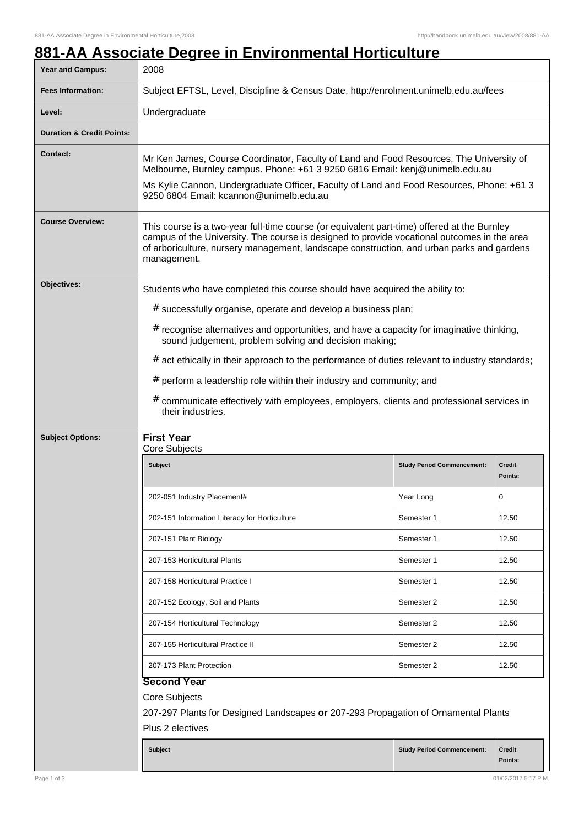## **881-AA Associate Degree in Environmental Horticulture**

| Year and Campus:                     | 2008                                                                                                                                                                                                                                                                                                                                                                                                                                                                                                                                                                                                  |                                   |                          |  |
|--------------------------------------|-------------------------------------------------------------------------------------------------------------------------------------------------------------------------------------------------------------------------------------------------------------------------------------------------------------------------------------------------------------------------------------------------------------------------------------------------------------------------------------------------------------------------------------------------------------------------------------------------------|-----------------------------------|--------------------------|--|
| <b>Fees Information:</b>             | Subject EFTSL, Level, Discipline & Census Date, http://enrolment.unimelb.edu.au/fees                                                                                                                                                                                                                                                                                                                                                                                                                                                                                                                  |                                   |                          |  |
| Level:                               | Undergraduate                                                                                                                                                                                                                                                                                                                                                                                                                                                                                                                                                                                         |                                   |                          |  |
| <b>Duration &amp; Credit Points:</b> |                                                                                                                                                                                                                                                                                                                                                                                                                                                                                                                                                                                                       |                                   |                          |  |
| <b>Contact:</b>                      | Mr Ken James, Course Coordinator, Faculty of Land and Food Resources, The University of<br>Melbourne, Burnley campus. Phone: +61 3 9250 6816 Email: kenj@unimelb.edu.au<br>Ms Kylie Cannon, Undergraduate Officer, Faculty of Land and Food Resources, Phone: +61 3<br>9250 6804 Email: kcannon@unimelb.edu.au                                                                                                                                                                                                                                                                                        |                                   |                          |  |
| <b>Course Overview:</b>              | This course is a two-year full-time course (or equivalent part-time) offered at the Burnley<br>campus of the University. The course is designed to provide vocational outcomes in the area<br>of arboriculture, nursery management, landscape construction, and urban parks and gardens<br>management.                                                                                                                                                                                                                                                                                                |                                   |                          |  |
| Objectives:                          | Students who have completed this course should have acquired the ability to:<br># successfully organise, operate and develop a business plan;<br>$#$ recognise alternatives and opportunities, and have a capacity for imaginative thinking,<br>sound judgement, problem solving and decision making;<br>$#$ act ethically in their approach to the performance of duties relevant to industry standards;<br>$#$ perform a leadership role within their industry and community; and<br># communicate effectively with employees, employers, clients and professional services in<br>their industries. |                                   |                          |  |
| <b>Subject Options:</b>              | <b>First Year</b><br>Core Subjects                                                                                                                                                                                                                                                                                                                                                                                                                                                                                                                                                                    |                                   |                          |  |
|                                      | <b>Subject</b>                                                                                                                                                                                                                                                                                                                                                                                                                                                                                                                                                                                        | <b>Study Period Commencement:</b> | <b>Credit</b><br>Points: |  |
|                                      | 202-051 Industry Placement#                                                                                                                                                                                                                                                                                                                                                                                                                                                                                                                                                                           | Year Long                         | $\mathbf 0$              |  |
|                                      | 202-151 Information Literacy for Horticulture                                                                                                                                                                                                                                                                                                                                                                                                                                                                                                                                                         | Semester 1                        | 12.50                    |  |
|                                      | 207-151 Plant Biology                                                                                                                                                                                                                                                                                                                                                                                                                                                                                                                                                                                 | Semester 1                        | 12.50                    |  |
|                                      | 207-153 Horticultural Plants                                                                                                                                                                                                                                                                                                                                                                                                                                                                                                                                                                          | Semester 1                        | 12.50                    |  |
|                                      | 207-158 Horticultural Practice I                                                                                                                                                                                                                                                                                                                                                                                                                                                                                                                                                                      | Semester 1                        | 12.50                    |  |
|                                      | 207-152 Ecology, Soil and Plants                                                                                                                                                                                                                                                                                                                                                                                                                                                                                                                                                                      | Semester 2                        | 12.50                    |  |
|                                      | 207-154 Horticultural Technology                                                                                                                                                                                                                                                                                                                                                                                                                                                                                                                                                                      | Semester 2                        | 12.50                    |  |
|                                      | 207-155 Horticultural Practice II                                                                                                                                                                                                                                                                                                                                                                                                                                                                                                                                                                     | Semester 2                        | 12.50                    |  |
|                                      | 207-173 Plant Protection                                                                                                                                                                                                                                                                                                                                                                                                                                                                                                                                                                              | Semester 2                        | 12.50                    |  |
|                                      | <b>Second Year</b><br>Core Subjects<br>207-297 Plants for Designed Landscapes or 207-293 Propagation of Ornamental Plants<br>Plus 2 electives                                                                                                                                                                                                                                                                                                                                                                                                                                                         |                                   |                          |  |
|                                      | <b>Subject</b>                                                                                                                                                                                                                                                                                                                                                                                                                                                                                                                                                                                        | <b>Study Period Commencement:</b> | Credit<br>Points:        |  |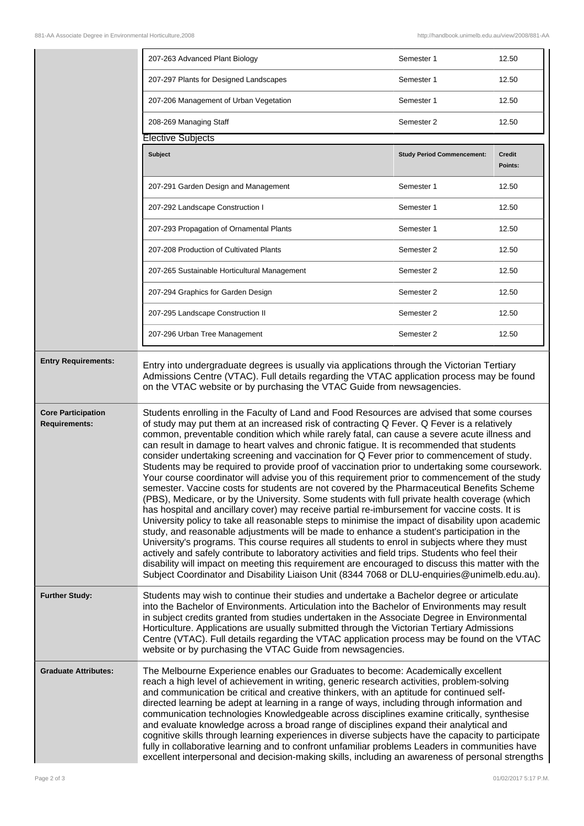|                                                   | 207-263 Advanced Plant Biology                                                                                                                                                                                                                                                                                                                                                                                                                                                                                                                                                                                                                                                                                                                                                                                                                                                                                                                                                                                                                                                                                                                                                                                                                                                                                                                                                                                                                                                                                                                                                                       | Semester 1                        | 12.50                    |
|---------------------------------------------------|------------------------------------------------------------------------------------------------------------------------------------------------------------------------------------------------------------------------------------------------------------------------------------------------------------------------------------------------------------------------------------------------------------------------------------------------------------------------------------------------------------------------------------------------------------------------------------------------------------------------------------------------------------------------------------------------------------------------------------------------------------------------------------------------------------------------------------------------------------------------------------------------------------------------------------------------------------------------------------------------------------------------------------------------------------------------------------------------------------------------------------------------------------------------------------------------------------------------------------------------------------------------------------------------------------------------------------------------------------------------------------------------------------------------------------------------------------------------------------------------------------------------------------------------------------------------------------------------------|-----------------------------------|--------------------------|
|                                                   | 207-297 Plants for Designed Landscapes                                                                                                                                                                                                                                                                                                                                                                                                                                                                                                                                                                                                                                                                                                                                                                                                                                                                                                                                                                                                                                                                                                                                                                                                                                                                                                                                                                                                                                                                                                                                                               | Semester 1                        | 12.50                    |
|                                                   | 207-206 Management of Urban Vegetation                                                                                                                                                                                                                                                                                                                                                                                                                                                                                                                                                                                                                                                                                                                                                                                                                                                                                                                                                                                                                                                                                                                                                                                                                                                                                                                                                                                                                                                                                                                                                               | Semester 1                        | 12.50                    |
|                                                   | 208-269 Managing Staff                                                                                                                                                                                                                                                                                                                                                                                                                                                                                                                                                                                                                                                                                                                                                                                                                                                                                                                                                                                                                                                                                                                                                                                                                                                                                                                                                                                                                                                                                                                                                                               | Semester 2                        | 12.50                    |
|                                                   | <b>Elective Subjects</b>                                                                                                                                                                                                                                                                                                                                                                                                                                                                                                                                                                                                                                                                                                                                                                                                                                                                                                                                                                                                                                                                                                                                                                                                                                                                                                                                                                                                                                                                                                                                                                             |                                   |                          |
|                                                   | <b>Subject</b>                                                                                                                                                                                                                                                                                                                                                                                                                                                                                                                                                                                                                                                                                                                                                                                                                                                                                                                                                                                                                                                                                                                                                                                                                                                                                                                                                                                                                                                                                                                                                                                       | <b>Study Period Commencement:</b> | <b>Credit</b><br>Points: |
|                                                   | 207-291 Garden Design and Management                                                                                                                                                                                                                                                                                                                                                                                                                                                                                                                                                                                                                                                                                                                                                                                                                                                                                                                                                                                                                                                                                                                                                                                                                                                                                                                                                                                                                                                                                                                                                                 | Semester 1                        | 12.50                    |
|                                                   | 207-292 Landscape Construction I                                                                                                                                                                                                                                                                                                                                                                                                                                                                                                                                                                                                                                                                                                                                                                                                                                                                                                                                                                                                                                                                                                                                                                                                                                                                                                                                                                                                                                                                                                                                                                     | Semester 1                        | 12.50                    |
|                                                   | 207-293 Propagation of Ornamental Plants                                                                                                                                                                                                                                                                                                                                                                                                                                                                                                                                                                                                                                                                                                                                                                                                                                                                                                                                                                                                                                                                                                                                                                                                                                                                                                                                                                                                                                                                                                                                                             | Semester 1                        | 12.50                    |
|                                                   | 207-208 Production of Cultivated Plants                                                                                                                                                                                                                                                                                                                                                                                                                                                                                                                                                                                                                                                                                                                                                                                                                                                                                                                                                                                                                                                                                                                                                                                                                                                                                                                                                                                                                                                                                                                                                              | Semester 2                        | 12.50                    |
|                                                   | 207-265 Sustainable Horticultural Management                                                                                                                                                                                                                                                                                                                                                                                                                                                                                                                                                                                                                                                                                                                                                                                                                                                                                                                                                                                                                                                                                                                                                                                                                                                                                                                                                                                                                                                                                                                                                         | Semester 2                        | 12.50                    |
|                                                   | 207-294 Graphics for Garden Design                                                                                                                                                                                                                                                                                                                                                                                                                                                                                                                                                                                                                                                                                                                                                                                                                                                                                                                                                                                                                                                                                                                                                                                                                                                                                                                                                                                                                                                                                                                                                                   | Semester 2                        | 12.50                    |
|                                                   | 207-295 Landscape Construction II                                                                                                                                                                                                                                                                                                                                                                                                                                                                                                                                                                                                                                                                                                                                                                                                                                                                                                                                                                                                                                                                                                                                                                                                                                                                                                                                                                                                                                                                                                                                                                    | Semester 2                        | 12.50                    |
|                                                   | 207-296 Urban Tree Management                                                                                                                                                                                                                                                                                                                                                                                                                                                                                                                                                                                                                                                                                                                                                                                                                                                                                                                                                                                                                                                                                                                                                                                                                                                                                                                                                                                                                                                                                                                                                                        | Semester 2                        | 12.50                    |
| <b>Entry Requirements:</b>                        | Entry into undergraduate degrees is usually via applications through the Victorian Tertiary<br>Admissions Centre (VTAC). Full details regarding the VTAC application process may be found<br>on the VTAC website or by purchasing the VTAC Guide from newsagencies.                                                                                                                                                                                                                                                                                                                                                                                                                                                                                                                                                                                                                                                                                                                                                                                                                                                                                                                                                                                                                                                                                                                                                                                                                                                                                                                                  |                                   |                          |
| <b>Core Participation</b><br><b>Requirements:</b> | Students enrolling in the Faculty of Land and Food Resources are advised that some courses<br>of study may put them at an increased risk of contracting Q Fever. Q Fever is a relatively<br>common, preventable condition which while rarely fatal, can cause a severe acute illness and<br>can result in damage to heart valves and chronic fatigue. It is recommended that students<br>consider undertaking screening and vaccination for Q Fever prior to commencement of study.<br>Students may be required to provide proof of vaccination prior to undertaking some coursework.<br>Your course coordinator will advise you of this requirement prior to commencement of the study<br>semester. Vaccine costs for students are not covered by the Pharmaceutical Benefits Scheme<br>(PBS), Medicare, or by the University. Some students with full private health coverage (which<br>has hospital and ancillary cover) may receive partial re-imbursement for vaccine costs. It is<br>University policy to take all reasonable steps to minimise the impact of disability upon academic<br>study, and reasonable adjustments will be made to enhance a student's participation in the<br>University's programs. This course requires all students to enrol in subjects where they must<br>actively and safely contribute to laboratory activities and field trips. Students who feel their<br>disability will impact on meeting this requirement are encouraged to discuss this matter with the<br>Subject Coordinator and Disability Liaison Unit (8344 7068 or DLU-enquiries@unimelb.edu.au). |                                   |                          |
| <b>Further Study:</b>                             | Students may wish to continue their studies and undertake a Bachelor degree or articulate<br>into the Bachelor of Environments. Articulation into the Bachelor of Environments may result<br>in subject credits granted from studies undertaken in the Associate Degree in Environmental<br>Horticulture. Applications are usually submitted through the Victorian Tertiary Admissions<br>Centre (VTAC). Full details regarding the VTAC application process may be found on the VTAC<br>website or by purchasing the VTAC Guide from newsagencies.                                                                                                                                                                                                                                                                                                                                                                                                                                                                                                                                                                                                                                                                                                                                                                                                                                                                                                                                                                                                                                                  |                                   |                          |
| <b>Graduate Attributes:</b>                       | The Melbourne Experience enables our Graduates to become: Academically excellent<br>reach a high level of achievement in writing, generic research activities, problem-solving<br>and communication be critical and creative thinkers, with an aptitude for continued self-<br>directed learning be adept at learning in a range of ways, including through information and<br>communication technologies Knowledgeable across disciplines examine critically, synthesise<br>and evaluate knowledge across a broad range of disciplines expand their analytical and<br>cognitive skills through learning experiences in diverse subjects have the capacity to participate<br>fully in collaborative learning and to confront unfamiliar problems Leaders in communities have<br>excellent interpersonal and decision-making skills, including an awareness of personal strengths                                                                                                                                                                                                                                                                                                                                                                                                                                                                                                                                                                                                                                                                                                                     |                                   |                          |